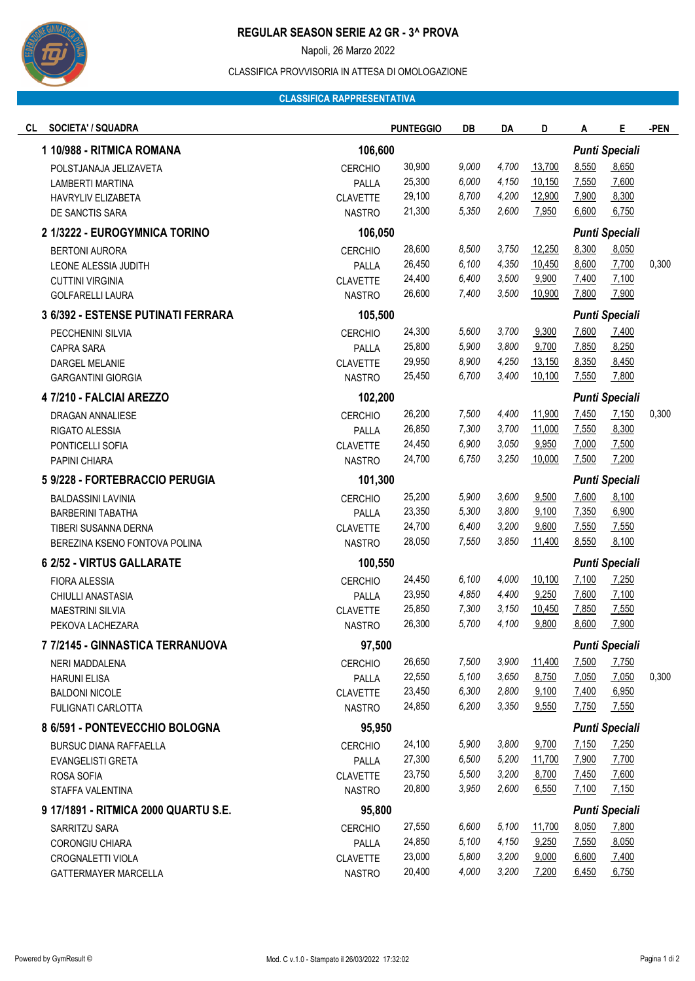

# **REGULAR SEASON SERIE A2 GR - 3^ PROVA**

Napoli, 26 Marzo 2022

# CLASSIFICA PROVVISORIA IN ATTESA DI OMOLOGAZIONE

### **CLASSIFICA RAPPRESENTATIVA**

| CL<br><b>SOCIETA' / SQUADRA</b>      |                 | <b>PUNTEGGIO</b> | DB    | DA    | D      | A                     | Е                     | -PEN  |
|--------------------------------------|-----------------|------------------|-------|-------|--------|-----------------------|-----------------------|-------|
| 1 10/988 - RITMICA ROMANA            | 106,600         |                  |       |       |        |                       | <b>Punti Speciali</b> |       |
| POLSTJANAJA JELIZAVETA               | <b>CERCHIO</b>  | 30,900           | 9,000 | 4,700 | 13,700 | 8,550                 | 8,650                 |       |
| LAMBERTI MARTINA                     | PALLA           | 25,300           | 6,000 | 4,150 | 10,150 | 7,550                 | 7,600                 |       |
| HAVRYLIV ELIZABETA                   | <b>CLAVETTE</b> | 29,100           | 8,700 | 4,200 | 12,900 | 7,900                 | 8,300                 |       |
| DE SANCTIS SARA                      | <b>NASTRO</b>   | 21,300           | 5,350 | 2,600 | 7,950  | 6,600                 | 6,750                 |       |
| 2 1/3222 - EUROGYMNICA TORINO        | 106,050         |                  |       |       |        |                       | <b>Punti Speciali</b> |       |
| <b>BERTONI AURORA</b>                | <b>CERCHIO</b>  | 28,600           | 8,500 | 3,750 | 12,250 | 8,300                 | 8,050                 |       |
| LEONE ALESSIA JUDITH                 | PALLA           | 26,450           | 6,100 | 4,350 | 10,450 | 8,600                 | 7,700                 | 0,300 |
| <b>CUTTINI VIRGINIA</b>              | <b>CLAVETTE</b> | 24,400           | 6,400 | 3,500 | 9,900  | 7,400                 | 7,100                 |       |
| <b>GOLFARELLI LAURA</b>              | <b>NASTRO</b>   | 26,600           | 7,400 | 3,500 | 10,900 | 7,800                 | 7,900                 |       |
| 3 6/392 - ESTENSE PUTINATI FERRARA   |                 | 105,500          |       |       |        | <b>Punti Speciali</b> |                       |       |
| PECCHENINI SILVIA                    | <b>CERCHIO</b>  | 24,300           | 5,600 | 3,700 | 9,300  | 7,600                 | 7,400                 |       |
| <b>CAPRA SARA</b>                    | PALLA           | 25,800           | 5,900 | 3,800 | 9,700  | 7,850                 | 8,250                 |       |
| <b>DARGEL MELANIE</b>                | <b>CLAVETTE</b> | 29,950           | 8,900 | 4,250 | 13,150 | 8,350                 | 8,450                 |       |
| <b>GARGANTINI GIORGIA</b>            | <b>NASTRO</b>   | 25,450           | 6,700 | 3,400 | 10,100 | 7,550                 | 7,800                 |       |
| 4 7/210 - FALCIAI AREZZO             | 102,200         |                  |       |       |        |                       | <b>Punti Speciali</b> |       |
| DRAGAN ANNALIESE                     | <b>CERCHIO</b>  | 26,200           | 7,500 | 4,400 | 11,900 | 7,450                 | 7,150                 | 0,300 |
| RIGATO ALESSIA                       | PALLA           | 26,850           | 7,300 | 3,700 | 11,000 | 7,550                 | 8,300                 |       |
| PONTICELLI SOFIA                     | <b>CLAVETTE</b> | 24,450           | 6,900 | 3,050 | 9,950  | 7,000                 | 7,500                 |       |
| PAPINI CHIARA                        | <b>NASTRO</b>   | 24,700           | 6,750 | 3,250 | 10,000 | 7,500                 | 7,200                 |       |
| 5 9/228 - FORTEBRACCIO PERUGIA       | 101,300         |                  |       |       |        |                       | <b>Punti Speciali</b> |       |
| <b>BALDASSINI LAVINIA</b>            | <b>CERCHIO</b>  | 25,200           | 5,900 | 3,600 | 9,500  | 7,600                 | 8,100                 |       |
| <b>BARBERINI TABATHA</b>             | PALLA           | 23,350           | 5,300 | 3,800 | 9,100  | 7,350                 | 6,900                 |       |
| TIBERI SUSANNA DERNA                 | <b>CLAVETTE</b> | 24,700           | 6,400 | 3,200 | 9,600  | 7,550                 | 7,550                 |       |
| BEREZINA KSENO FONTOVA POLINA        | <b>NASTRO</b>   | 28,050           | 7,550 | 3,850 | 11,400 | 8,550                 | 8,100                 |       |
| 6 2/52 - VIRTUS GALLARATE            |                 | 100,550          |       |       |        | <b>Punti Speciali</b> |                       |       |
| <b>FIORA ALESSIA</b>                 | <b>CERCHIO</b>  | 24,450           | 6,100 | 4,000 | 10,100 | 7,100                 | 7,250                 |       |
| CHIULLI ANASTASIA                    | PALLA           | 23,950           | 4,850 | 4,400 | 9,250  | 7,600                 | 7,100                 |       |
| <b>MAESTRINI SILVIA</b>              | <b>CLAVETTE</b> | 25,850           | 7,300 | 3,150 | 10,450 | 7,850                 | 7,550                 |       |
| PEKOVA LACHEZARA                     | <b>NASTRO</b>   | 26,300           | 5,700 | 4,100 | 9,800  | 8,600                 | 7,900                 |       |
| 7 7/2145 - GINNASTICA TERRANUOVA     | 97,500          |                  |       |       |        |                       | <b>Punti Speciali</b> |       |
| NERI MADDALENA                       | <b>CERCHIO</b>  | 26,650           | 7,500 | 3,900 | 11,400 | 7,500                 | 7,750                 |       |
| <b>HARUNI ELISA</b>                  | PALLA           | 22,550           | 5,100 | 3,650 | 8,750  | 7,050                 | 7,050                 | 0,300 |
| <b>BALDONI NICOLE</b>                | <b>CLAVETTE</b> | 23,450           | 6,300 | 2,800 | 9,100  | 7,400                 | 6,950                 |       |
| <b>FULIGNATI CARLOTTA</b>            | <b>NASTRO</b>   | 24,850           | 6,200 | 3,350 | 9,550  | 7,750                 | 7,550                 |       |
| 8 6/591 - PONTEVECCHIO BOLOGNA       |                 | 95,950           |       |       |        | <b>Punti Speciali</b> |                       |       |
| <b>BURSUC DIANA RAFFAELLA</b>        | <b>CERCHIO</b>  | 24,100           | 5,900 | 3,800 | 9,700  | 7,150                 | 7,250                 |       |
| EVANGELISTI GRETA                    | PALLA           | 27,300           | 6,500 | 5,200 | 11,700 | 7,900                 | 7,700                 |       |
| ROSA SOFIA                           | <b>CLAVETTE</b> | 23,750           | 5,500 | 3,200 | 8,700  | 7,450                 | 7,600                 |       |
| STAFFA VALENTINA                     | <b>NASTRO</b>   | 20,800           | 3,950 | 2,600 | 6,550  | 7,100                 | 7,150                 |       |
| 9 17/1891 - RITMICA 2000 QUARTU S.E. | 95,800          |                  |       |       |        | <b>Punti Speciali</b> |                       |       |
| SARRITZU SARA                        | <b>CERCHIO</b>  | 27,550           | 6,600 | 5,100 | 11,700 | 8,050                 | 7,800                 |       |
| CORONGIU CHIARA                      | PALLA           | 24,850           | 5,100 | 4,150 | 9,250  | 7,550                 | 8,050                 |       |
| CROGNALETTI VIOLA                    | <b>CLAVETTE</b> | 23,000           | 5,800 | 3,200 | 9,000  | 6,600                 | 7,400                 |       |
| GATTERMAYER MARCELLA                 | <b>NASTRO</b>   | 20,400           | 4,000 | 3,200 | 7,200  | 6,450                 | 6,750                 |       |